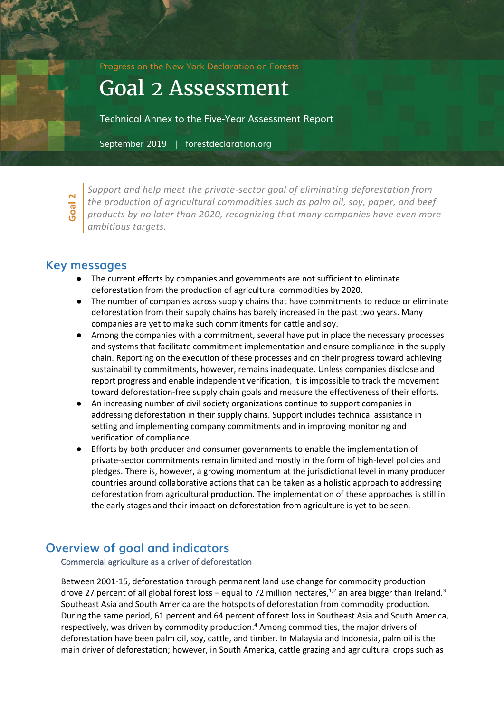Progress on the New York Declaration on Forests

# Goal 2 Assessment

Technical Annex to the Five-Year Assessment Report

September 2019 | forestdeclaration.org

**Goal**  $\overline{N}$ 

*Support and help meet the private-sector goal of eliminating deforestation from the production of agricultural commodities such as palm oil, soy, paper, and beef products by no later than 2020, recognizing that many companies have even more ambitious targets.*

## **Key messages**

- The current efforts by companies and governments are not sufficient to eliminate deforestation from the production of agricultural commodities by 2020.
- The number of companies across supply chains that have commitments to reduce or eliminate deforestation from their supply chains has barely increased in the past two years. Many companies are yet to make such commitments for cattle and soy.
- Among the companies with a commitment, several have put in place the necessary processes and systems that facilitate commitment implementation and ensure compliance in the supply chain. Reporting on the execution of these processes and on their progress toward achieving sustainability commitments, however, remains inadequate. Unless companies disclose and report progress and enable independent verification, it is impossible to track the movement toward deforestation-free supply chain goals and measure the effectiveness of their efforts.
- An increasing number of civil society organizations continue to support companies in addressing deforestation in their supply chains. Support includes technical assistance in setting and implementing company commitments and in improving monitoring and verification of compliance.
- Efforts by both producer and consumer governments to enable the implementation of private-sector commitments remain limited and mostly in the form of high-level policies and pledges. There is, however, a growing momentum at the jurisdictional level in many producer countries around collaborative actions that can be taken as a holistic approach to addressing deforestation from agricultural production. The implementation of these approaches is still in the early stages and their impact on deforestation from agriculture is yet to be seen.

# **Overview of goal and indicators**

Commercial agriculture as a driver of deforestation

Between 2001-15, deforestation through permanent land use change for commodity production drove 27 percent of all global forest loss – equal to 72 million hectares,<sup>1,2</sup> an area bigger than Ireland.<sup>3</sup> Southeast Asia and South America are the hotspots of deforestation from commodity production. During the same period, 61 percent and 64 percent of forest loss in Southeast Asia and South America, respectively, was driven by commodity production.<sup>4</sup> Among commodities, the major drivers of deforestation have been palm oil, soy, cattle, and timber. In Malaysia and Indonesia, palm oil is the main driver of deforestation; however, in South America, cattle grazing and agricultural crops such as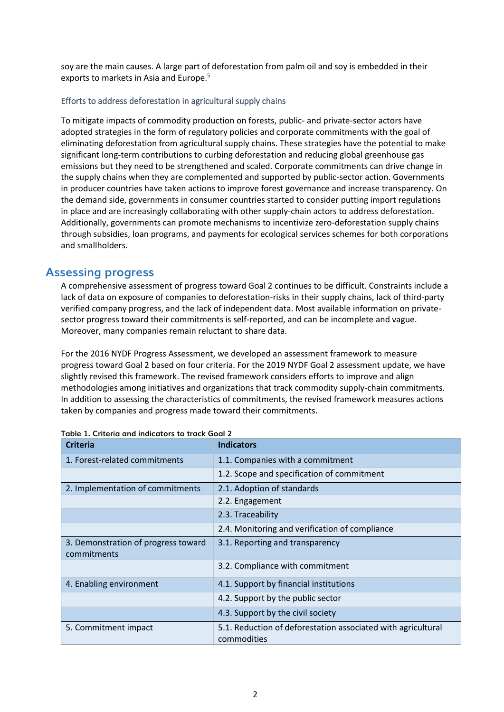soy are the main causes. A large part of deforestation from palm oil and soy is embedded in their exports to markets in Asia and Europe.<sup>5</sup>

## Efforts to address deforestation in agricultural supply chains

To mitigate impacts of commodity production on forests, public- and private-sector actors have adopted strategies in the form of regulatory policies and corporate commitments with the goal of eliminating deforestation from agricultural supply chains. These strategies have the potential to make significant long-term contributions to curbing deforestation and reducing global greenhouse gas emissions but they need to be strengthened and scaled. Corporate commitments can drive change in the supply chains when they are complemented and supported by public-sector action. Governments in producer countries have taken actions to improve forest governance and increase transparency. On the demand side, governments in consumer countries started to consider putting import regulations in place and are increasingly collaborating with other supply-chain actors to address deforestation. Additionally, governments can promote mechanisms to incentivize zero-deforestation supply chains through subsidies, loan programs, and payments for ecological services schemes for both corporations and smallholders.

## **Assessing progress**

A comprehensive assessment of progress toward Goal 2 continues to be difficult. Constraints include a lack of data on exposure of companies to deforestation-risks in their supply chains, lack of third-party verified company progress, and the lack of independent data. Most available information on privatesector progress toward their commitments is self-reported, and can be incomplete and vague. Moreover, many companies remain reluctant to share data.

For the 2016 NYDF Progress Assessment, we developed an assessment framework to measure progress toward Goal 2 based on four criteria. For the 2019 NYDF Goal 2 assessment update, we have slightly revised this framework. The revised framework considers efforts to improve and align methodologies among initiatives and organizations that track commodity supply-chain commitments. In addition to assessing the characteristics of commitments, the revised framework measures actions taken by companies and progress made toward their commitments.

| <b>Criteria</b>                                    | <b>Indicators</b>                                                           |
|----------------------------------------------------|-----------------------------------------------------------------------------|
| 1. Forest-related commitments                      | 1.1. Companies with a commitment                                            |
|                                                    | 1.2. Scope and specification of commitment                                  |
| 2. Implementation of commitments                   | 2.1. Adoption of standards                                                  |
|                                                    | 2.2. Engagement                                                             |
|                                                    | 2.3. Traceability                                                           |
|                                                    | 2.4. Monitoring and verification of compliance                              |
| 3. Demonstration of progress toward<br>commitments | 3.1. Reporting and transparency                                             |
|                                                    | 3.2. Compliance with commitment                                             |
| 4. Enabling environment                            | 4.1. Support by financial institutions                                      |
|                                                    | 4.2. Support by the public sector                                           |
|                                                    | 4.3. Support by the civil society                                           |
| 5. Commitment impact                               | 5.1. Reduction of deforestation associated with agricultural<br>commodities |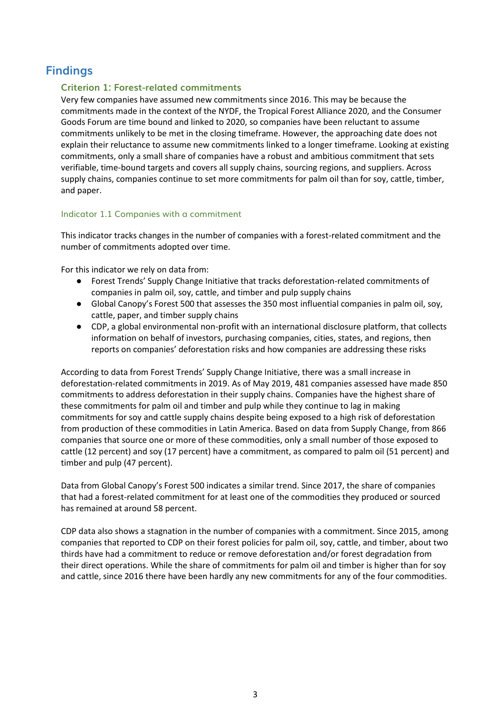# **Findings**

## **Criterion 1: Forest-related commitments**

Very few companies have assumed new commitments since 2016. This may be because the commitments made in the context of the NYDF, the Tropical Forest Alliance 2020, and the Consumer Goods Forum are time bound and linked to 2020, so companies have been reluctant to assume commitments unlikely to be met in the closing timeframe. However, the approaching date does not explain their reluctance to assume new commitments linked to a longer timeframe. Looking at existing commitments, only a small share of companies have a robust and ambitious commitment that sets verifiable, time-bound targets and covers all supply chains, sourcing regions, and suppliers. Across supply chains, companies continue to set more commitments for palm oil than for soy, cattle, timber, and paper.

## Indicator 1.1 Companies with a commitment

This indicator tracks changes in the number of companies with a forest-related commitment and the number of commitments adopted over time.

For this indicator we rely on data from:

- Forest Trends' Supply Change Initiative that tracks deforestation-related commitments of companies in palm oil, soy, cattle, and timber and pulp supply chains
- Global Canopy's Forest 500 that assesses the 350 most influential companies in palm oil, soy, cattle, paper, and timber supply chains
- CDP, a global environmental non-profit with an international disclosure platform, that collects information on behalf of investors, purchasing companies, cities, states, and regions, then reports on companies' deforestation risks and how companies are addressing these risks

According to data from Forest Trends' Supply Change Initiative, there was a small increase in deforestation-related commitments in 2019. As of May 2019, 481 companies assessed have made 850 commitments to address deforestation in their supply chains. Companies have the highest share of these commitments for palm oil and timber and pulp while they continue to lag in making commitments for soy and cattle supply chains despite being exposed to a high risk of deforestation from production of these commodities in Latin America. Based on data from Supply Change, from 866 companies that source one or more of these commodities, only a small number of those exposed to cattle (12 percent) and soy (17 percent) have a commitment, as compared to palm oil (51 percent) and timber and pulp (47 percent).

Data from Global Canopy's Forest 500 indicates a similar trend. Since 2017, the share of companies that had a forest-related commitment for at least one of the commodities they produced or sourced has remained at around 58 percent.

CDP data also shows a stagnation in the number of companies with a commitment. Since 2015, among companies that reported to CDP on their forest policies for palm oil, soy, cattle, and timber, about two thirds have had a commitment to reduce or remove deforestation and/or forest degradation from their direct operations. While the share of commitments for palm oil and timber is higher than for soy and cattle, since 2016 there have been hardly any new commitments for any of the four commodities.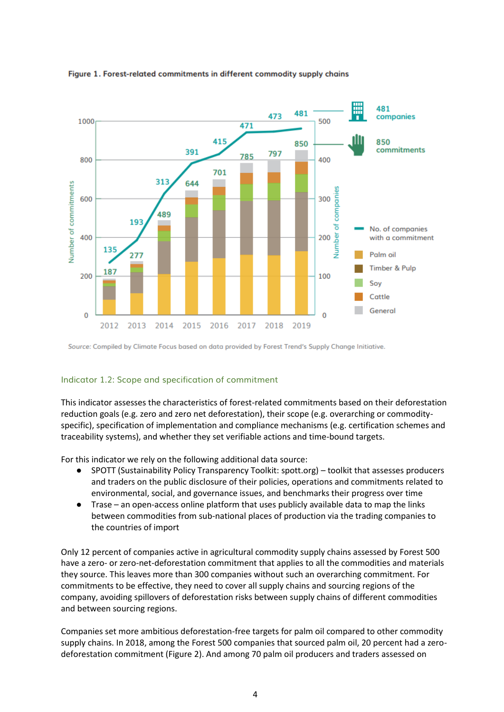

#### Figure 1. Forest-related commitments in different commodity supply chains

Source: Compiled by Climate Focus based on data provided by Forest Trend's Supply Change Initiative.

#### Indicator 1.2: Scope and specification of commitment

This indicator assesses the characteristics of forest-related commitments based on their deforestation reduction goals (e.g. zero and zero net deforestation), their scope (e.g. overarching or commodityspecific), specification of implementation and compliance mechanisms (e.g. certification schemes and traceability systems), and whether they set verifiable actions and time-bound targets.

For this indicator we rely on the following additional data source:

- SPOTT (Sustainability Policy Transparency Toolkit: spott.org) toolkit that assesses producers and traders on the public disclosure of their policies, operations and commitments related to environmental, social, and governance issues, and benchmarks their progress over time
- Trase an open-access online platform that uses publicly available data to map the links between commodities from sub-national places of production via the trading companies to the countries of import

Only 12 percent of companies active in agricultural commodity supply chains assessed by Forest 500 have a zero- or zero-net-deforestation commitment that applies to all the commodities and materials they source. This leaves more than 300 companies without such an overarching commitment. For commitments to be effective, they need to cover all supply chains and sourcing regions of the company, avoiding spillovers of deforestation risks between supply chains of different commodities and between sourcing regions.

Companies set more ambitious deforestation-free targets for palm oil compared to other commodity supply chains. In 2018, among the Forest 500 companies that sourced palm oil, 20 percent had a zerodeforestation commitment (Figure 2). And among 70 palm oil producers and traders assessed on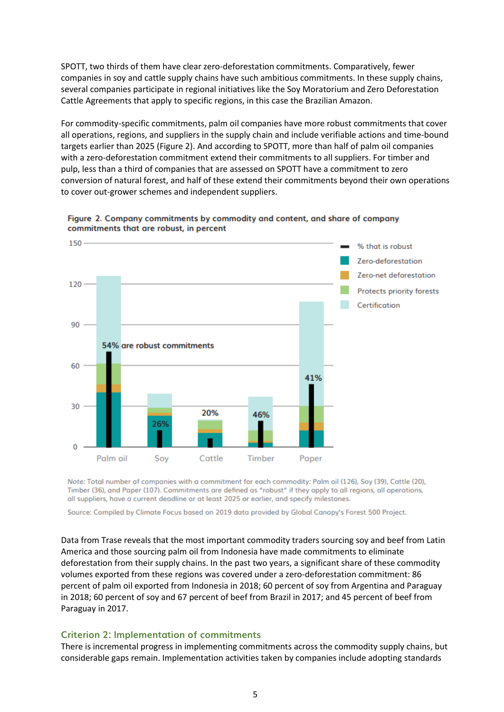SPOTT, two thirds of them have clear zero-deforestation commitments. Comparatively, fewer companies in soy and cattle supply chains have such ambitious commitments. In these supply chains, several companies participate in regional initiatives like the Soy Moratorium and Zero Deforestation Cattle Agreements that apply to specific regions, in this case the Brazilian Amazon.

For commodity-specific commitments, palm oil companies have more robust commitments that cover all operations, regions, and suppliers in the supply chain and include verifiable actions and time-bound targets earlier than 2025 (Figure 2). And according to SPOTT, more than half of palm oil companies with a zero-deforestation commitment extend their commitments to all suppliers. For timber and pulp, less than a third of companies that are assessed on SPOTT have a commitment to zero conversion of natural forest, and half of these extend their commitments beyond their own operations to cover out-grower schemes and independent suppliers.



Figure 2. Company commitments by commodity and content, and share of company commitments that are robust, in percent

Note: Total number of companies with a commitment for each commodity: Palm oil (126), Soy (39), Cattle (20), Timber (36), and Paper (107). Commitments are defined as "robust" if they apply to all regions, all operations, all suppliers, have a current deadline or at least 2025 or earlier, and specify milestones.

Source: Compiled by Climate Focus based on 2019 data provided by Global Canopy's Forest 500 Project.

Data from Trase reveals that the most important commodity traders sourcing soy and beef from Latin America and those sourcing palm oil from Indonesia have made commitments to eliminate deforestation from their supply chains. In the past two years, a significant share of these commodity volumes exported from these regions was covered under a zero-deforestation commitment: 86 percent of palm oil exported from Indonesia in 2018; 60 percent of soy from Argentina and Paraguay in 2018; 60 percent of soy and 67 percent of beef from Brazil in 2017; and 45 percent of beef from Paraguay in 2017.

## **Criterion 2: Implementation of commitments**

There is incremental progress in implementing commitments across the commodity supply chains, but considerable gaps remain. Implementation activities taken by companies include adopting standards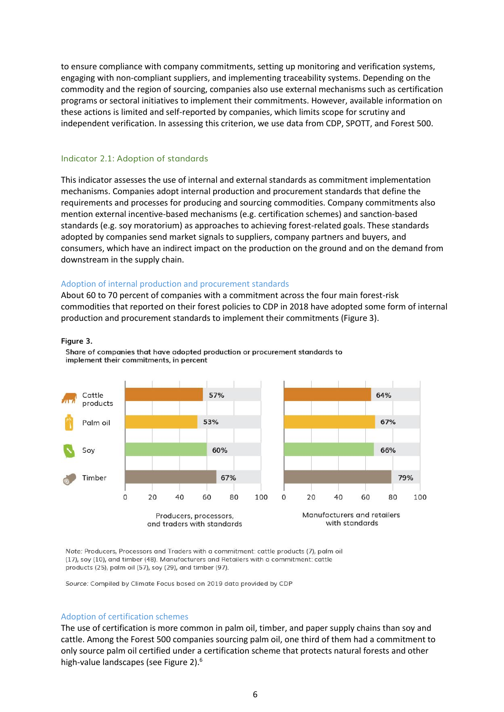to ensure compliance with company commitments, setting up monitoring and verification systems, engaging with non-compliant suppliers, and implementing traceability systems. Depending on the commodity and the region of sourcing, companies also use external mechanisms such as certification programs or sectoral initiatives to implement their commitments. However, available information on these actions is limited and self-reported by companies, which limits scope for scrutiny and independent verification. In assessing this criterion, we use data from CDP, SPOTT, and Forest 500.

#### Indicator 2.1: Adoption of standards

This indicator assesses the use of internal and external standards as commitment implementation mechanisms. Companies adopt internal production and procurement standards that define the requirements and processes for producing and sourcing commodities. Company commitments also mention external incentive-based mechanisms (e.g. certification schemes) and sanction-based standards (e.g. soy moratorium) as approaches to achieving forest-related goals. These standards adopted by companies send market signals to suppliers, company partners and buyers, and consumers, which have an indirect impact on the production on the ground and on the demand from downstream in the supply chain.

#### Adoption of internal production and procurement standards

About 60 to 70 percent of companies with a commitment across the four main forest-risk commodities that reported on their forest policies to CDP in 2018 have adopted some form of internal production and procurement standards to implement their commitments (Figure 3).

#### **Figure 3.**



Share of companies that have adopted production or procurement standards to implement their commitments, in percent

Note: Producers, Processors and Traders with a commitment: cattle products (7), palm oil (17), soy (10), and timber (48). Manufacturers and Retailers with a commitment: cattle products (25), palm oil (57), soy (29), and timber (97).

Source: Compiled by Climate Focus based on 2019 data provided by CDP

#### Adoption of certification schemes

The use of certification is more common in palm oil, timber, and paper supply chains than soy and cattle. Among the Forest 500 companies sourcing palm oil, one third of them had a commitment to only source palm oil certified under a certification scheme that protects natural forests and other high-value landscapes (see Figure 2).6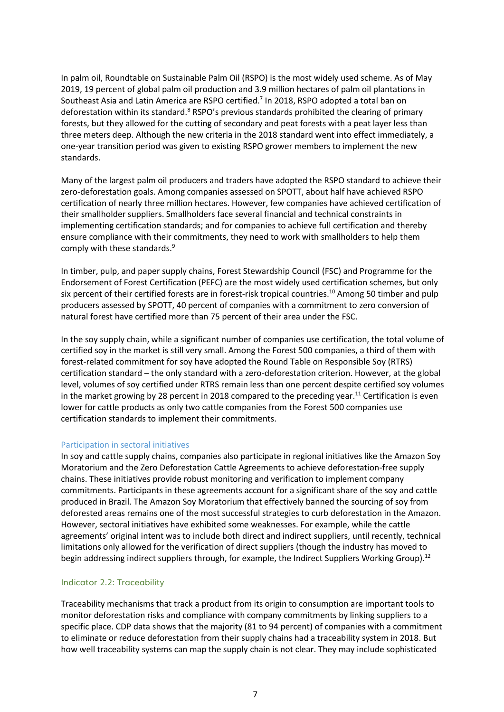In palm oil, Roundtable on Sustainable Palm Oil (RSPO) is the most widely used scheme. As of May 2019, 19 percent of global palm oil production and 3.9 million hectares of palm oil plantations in Southeast Asia and Latin America are RSPO certified.<sup>7</sup> In 2018, RSPO adopted a total ban on deforestation within its standard.<sup>8</sup> RSPO's previous standards prohibited the clearing of primary forests, but they allowed for the cutting of secondary and peat forests with a peat layer less than three meters deep. Although the new criteria in the 2018 standard went into effect immediately, a one-year transition period was given to existing RSPO grower members to implement the new standards.

Many of the largest palm oil producers and traders have adopted the RSPO standard to achieve their zero-deforestation goals. Among companies assessed on SPOTT, about half have achieved RSPO certification of nearly three million hectares. However, few companies have achieved certification of their smallholder suppliers. Smallholders face several financial and technical constraints in implementing certification standards; and for companies to achieve full certification and thereby ensure compliance with their commitments, they need to work with smallholders to help them comply with these standards.<sup>9</sup>

In timber, pulp, and paper supply chains, Forest Stewardship Council (FSC) and Programme for the Endorsement of Forest Certification (PEFC) are the most widely used certification schemes, but only six percent of their certified forests are in forest-risk tropical countries.<sup>10</sup> Among 50 timber and pulp producers assessed by SPOTT, 40 percent of companies with a commitment to zero conversion of natural forest have certified more than 75 percent of their area under the FSC.

In the soy supply chain, while a significant number of companies use certification, the total volume of certified soy in the market is still very small. Among the Forest 500 companies, a third of them with forest-related commitment for soy have adopted the Round Table on Responsible Soy (RTRS) certification standard – the only standard with a zero-deforestation criterion. However, at the global level, volumes of soy certified under RTRS remain less than one percent despite certified soy volumes in the market growing by 28 percent in 2018 compared to the preceding year.<sup>11</sup> Certification is even lower for cattle products as only two cattle companies from the Forest 500 companies use certification standards to implement their commitments.

#### Participation in sectoral initiatives

In soy and cattle supply chains, companies also participate in regional initiatives like the Amazon Soy Moratorium and the Zero Deforestation Cattle Agreements to achieve deforestation-free supply chains. These initiatives provide robust monitoring and verification to implement company commitments. Participants in these agreements account for a significant share of the soy and cattle produced in Brazil. The Amazon Soy Moratorium that effectively banned the sourcing of soy from deforested areas remains one of the most successful strategies to curb deforestation in the Amazon. However, sectoral initiatives have exhibited some weaknesses. For example, while the cattle agreements' original intent was to include both direct and indirect suppliers, until recently, technical limitations only allowed for the verification of direct suppliers (though the industry has moved to begin addressing indirect suppliers through, for example, the Indirect Suppliers Working Group).<sup>12</sup>

#### Indicator 2.2: Traceability

Traceability mechanisms that track a product from its origin to consumption are important tools to monitor deforestation risks and compliance with company commitments by linking suppliers to a specific place. CDP data shows that the majority (81 to 94 percent) of companies with a commitment to eliminate or reduce deforestation from their supply chains had a traceability system in 2018. But how well traceability systems can map the supply chain is not clear. They may include sophisticated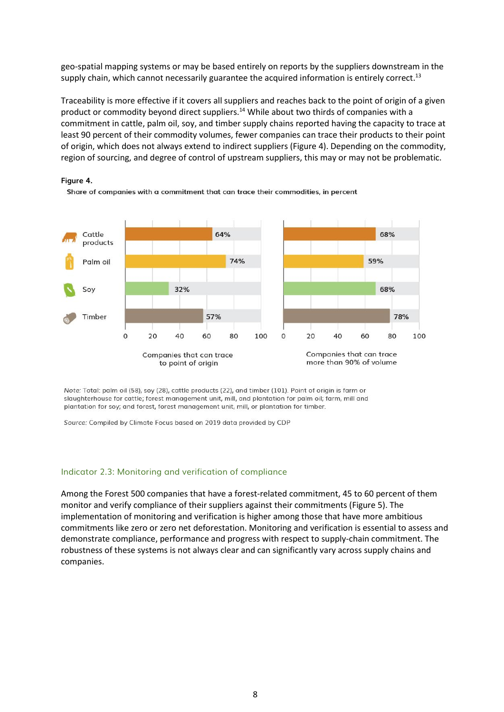geo-spatial mapping systems or may be based entirely on reports by the suppliers downstream in the supply chain, which cannot necessarily guarantee the acquired information is entirely correct.<sup>13</sup>

Traceability is more effective if it covers all suppliers and reaches back to the point of origin of a given product or commodity beyond direct suppliers.<sup>14</sup> While about two thirds of companies with a commitment in cattle, palm oil, soy, and timber supply chains reported having the capacity to trace at least 90 percent of their commodity volumes, fewer companies can trace their products to their point of origin, which does not always extend to indirect suppliers (Figure 4). Depending on the commodity, region of sourcing, and degree of control of upstream suppliers, this may or may not be problematic.







Note: Total: palm oil (58), soy (28), cattle products (22), and timber (101). Point of origin is farm or slaughterhouse for cattle; forest management unit, mill, and plantation for palm oil; farm, mill and plantation for soy; and forest, forest management unit, mill, or plantation for timber.

Source: Compiled by Climate Focus based on 2019 data provided by CDP

#### Indicator 2.3: Monitoring and verification of compliance

Among the Forest 500 companies that have a forest-related commitment, 45 to 60 percent of them monitor and verify compliance of their suppliers against their commitments (Figure 5). The implementation of monitoring and verification is higher among those that have more ambitious commitments like zero or zero net deforestation. Monitoring and verification is essential to assess and demonstrate compliance, performance and progress with respect to supply-chain commitment. The robustness of these systems is not always clear and can significantly vary across supply chains and companies.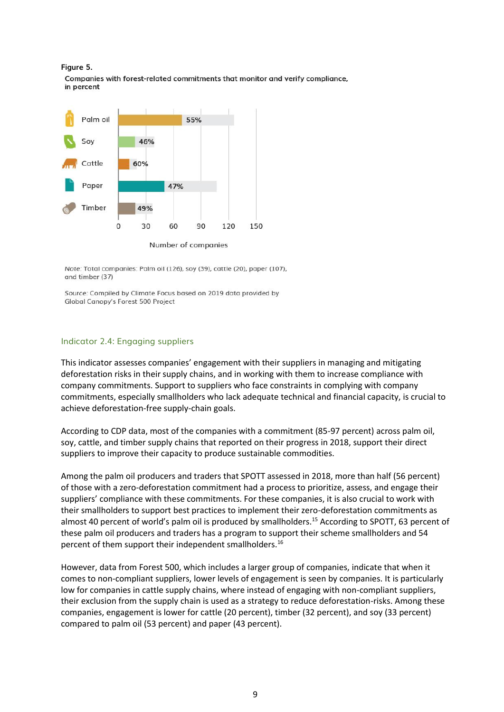



Note: Total companies: Palm oil (126), soy (39), cattle (20), paper (107), and timber (37)

Source: Compiled by Climate Focus based on 2019 data provided by Global Canopy's Forest 500 Project

### Indicator 2.4: Engaging suppliers

This indicator assesses companies' engagement with their suppliers in managing and mitigating deforestation risks in their supply chains, and in working with them to increase compliance with company commitments. Support to suppliers who face constraints in complying with company commitments, especially smallholders who lack adequate technical and financial capacity, is crucial to achieve deforestation-free supply-chain goals.

According to CDP data, most of the companies with a commitment (85-97 percent) across palm oil, soy, cattle, and timber supply chains that reported on their progress in 2018, support their direct suppliers to improve their capacity to produce sustainable commodities.

Among the palm oil producers and traders that SPOTT assessed in 2018, more than half (56 percent) of those with a zero-deforestation commitment had a process to prioritize, assess, and engage their suppliers' compliance with these commitments. For these companies, it is also crucial to work with their smallholders to support best practices to implement their zero-deforestation commitments as almost 40 percent of world's palm oil is produced by smallholders.<sup>15</sup> According to SPOTT, 63 percent of these palm oil producers and traders has a program to support their scheme smallholders and 54 percent of them support their independent smallholders.<sup>16</sup>

However, data from Forest 500, which includes a larger group of companies, indicate that when it comes to non-compliant suppliers, lower levels of engagement is seen by companies. It is particularly low for companies in cattle supply chains, where instead of engaging with non-compliant suppliers, their exclusion from the supply chain is used as a strategy to reduce deforestation-risks. Among these companies, engagement is lower for cattle (20 percent), timber (32 percent), and soy (33 percent) compared to palm oil (53 percent) and paper (43 percent).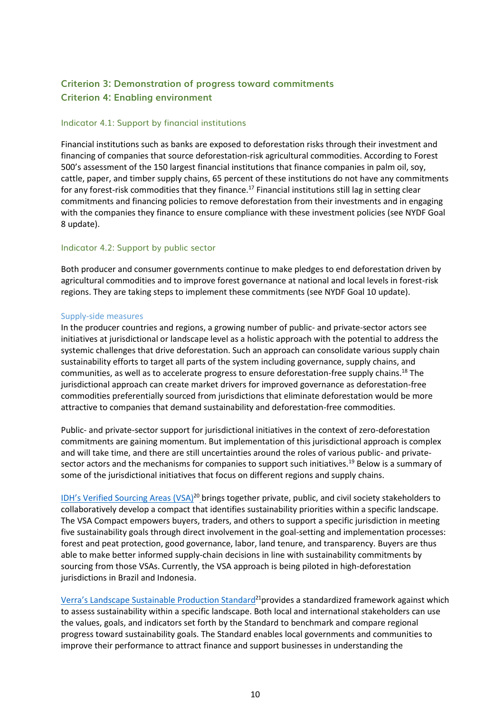# **Criterion 3: Demonstration of progress toward commitments Criterion 4: Enabling environment**

#### Indicator 4.1: Support by financial institutions

Financial institutions such as banks are exposed to deforestation risks through their investment and financing of companies that source deforestation-risk agricultural commodities. According to Forest 500's assessment of the 150 largest financial institutions that finance companies in palm oil, soy, cattle, paper, and timber supply chains, 65 percent of these institutions do not have any commitments for any forest-risk commodities that they finance.<sup>17</sup> Financial institutions still lag in setting clear commitments and financing policies to remove deforestation from their investments and in engaging with the companies they finance to ensure compliance with these investment policies (see NYDF Goal 8 update).

#### Indicator 4.2: Support by public sector

Both producer and consumer governments continue to make pledges to end deforestation driven by agricultural commodities and to improve forest governance at national and local levels in forest-risk regions. They are taking steps to implement these commitments (see NYDF Goal 10 update).

#### Supply-side measures

In the producer countries and regions, a growing number of public- and private-sector actors see initiatives at jurisdictional or landscape level as a holistic approach with the potential to address the systemic challenges that drive deforestation. Such an approach can consolidate various supply chain sustainability efforts to target all parts of the system including governance, supply chains, and communities, as well as to accelerate progress to ensure deforestation-free supply chains.<sup>18</sup> The jurisdictional approach can create market drivers for improved governance as deforestation-free commodities preferentially sourced from jurisdictions that eliminate deforestation would be more attractive to companies that demand sustainability and deforestation-free commodities.

Public- and private-sector support for jurisdictional initiatives in the context of zero-deforestation commitments are gaining momentum. But implementation of this jurisdictional approach is complex and will take time, and there are still uncertainties around the roles of various public- and privatesector actors and the mechanisms for companies to support such initiatives.<sup>19</sup> Below is a summary of some of the jurisdictional initiatives that focus on different regions and supply chains.

[IDH's Verified Sourcing Areas](https://www.idhsustainabletrade.com/verified-sourcing-areas/) (VSA)<sup>20</sup> brings together private, public, and civil society stakeholders to collaboratively develop a compact that identifies sustainability priorities within a specific landscape. The VSA Compact empowers buyers, traders, and others to support a specific jurisdiction in meeting five sustainability goals through direct involvement in the goal-setting and implementation processes: forest and peat protection, good governance, labor, land tenure, and transparency. Buyers are thus able to make better informed supply-chain decisions in line with sustainability commitments by sourcing from those VSAs. Currently, the VSA approach is being piloted in high-deforestation jurisdictions in Brazil and Indonesia.

[Verra's Landscape Sustainable Production Stan](https://verra.org/project/landscape-standard/)dard<sup>21</sup>provides a standardized framework against which to assess sustainability within a specific landscape. Both local and international stakeholders can use the values, goals, and indicators set forth by the Standard to benchmark and compare regional progress toward sustainability goals. The Standard enables local governments and communities to improve their performance to attract finance and support businesses in understanding the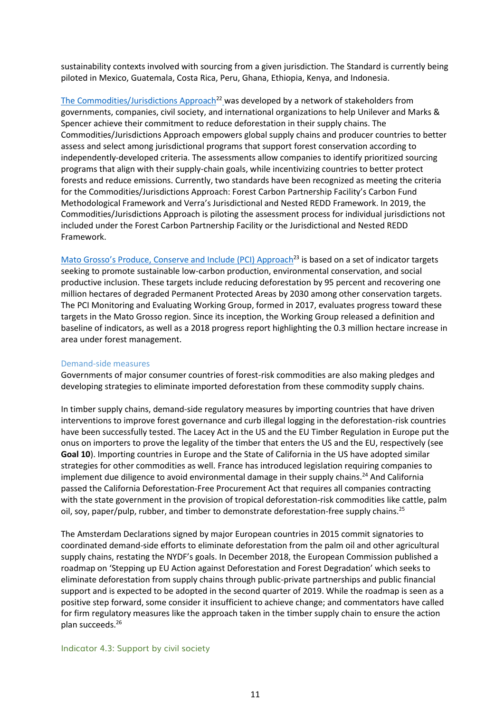sustainability contexts involved with sourcing from a given jurisdiction. The Standard is currently being piloted in Mexico, Guatemala, Costa Rica, Peru, Ghana, Ethiopia, Kenya, and Indonesia.

[The Commodities/Jurisdictions Approach](https://commoditiesjurisdictions.wordpress.com/)<sup>22</sup> was developed by a network of stakeholders from governments, companies, civil society, and international organizations to help Unilever and Marks & Spencer achieve their commitment to reduce deforestation in their supply chains. The Commodities/Jurisdictions Approach empowers global supply chains and producer countries to better assess and select among jurisdictional programs that support forest conservation according to independently-developed criteria. The assessments allow companies to identify prioritized sourcing programs that align with their supply-chain goals, while incentivizing countries to better protect forests and reduce emissions. Currently, two standards have been recognized as meeting the criteria for the Commodities/Jurisdictions Approach: Forest Carbon Partnership Facility's Carbon Fund Methodological Framework and Verra's Jurisdictional and Nested REDD Framework. In 2019, the Commodities/Jurisdictions Approach is piloting the assessment process for individual jurisdictions not included under the Forest Carbon Partnership Facility or the Jurisdictional and Nested REDD Framework.

[Mato Grosso's Produce, Conserve and Include \(PCI\) Approach](http://pcimonitor.org/)<sup>23</sup> is based on a set of indicator targets seeking to promote sustainable low-carbon production, environmental conservation, and social productive inclusion. These targets include reducing deforestation by 95 percent and recovering one million hectares of degraded Permanent Protected Areas by 2030 among other conservation targets. The PCI Monitoring and Evaluating Working Group, formed in 2017, evaluates progress toward these targets in the Mato Grosso region. Since its inception, the Working Group released a definition and baseline of indicators, as well as a 2018 progress report highlighting the 0.3 million hectare increase in area under forest management.

#### Demand-side measures

Governments of major consumer countries of forest-risk commodities are also making pledges and developing strategies to eliminate imported deforestation from these commodity supply chains.

In timber supply chains, demand-side regulatory measures by importing countries that have driven interventions to improve forest governance and curb illegal logging in the deforestation-risk countries have been successfully tested. The Lacey Act in the US and the EU Timber Regulation in Europe put the onus on importers to prove the legality of the timber that enters the US and the EU, respectively (see **Goal 10**). Importing countries in Europe and the State of California in the US have adopted similar strategies for other commodities as well. France has introduced legislation requiring companies to implement due diligence to avoid environmental damage in their supply chains.<sup>24</sup> And California passed the California Deforestation-Free Procurement Act that requires all companies contracting with the state government in the provision of tropical deforestation-risk commodities like cattle, palm oil, soy, paper/pulp, rubber, and timber to demonstrate deforestation-free supply chains.<sup>25</sup>

The Amsterdam Declarations signed by major European countries in 2015 commit signatories to coordinated demand-side efforts to eliminate deforestation from the palm oil and other agricultural supply chains, restating the NYDF's goals. In December 2018, the European Commission published a roadmap on 'Stepping up EU Action against Deforestation and Forest Degradation' which seeks to eliminate deforestation from supply chains through public-private partnerships and public financial support and is expected to be adopted in the second quarter of 2019. While the roadmap is seen as a positive step forward, some consider it insufficient to achieve change; and commentators have called for firm regulatory measures like the approach taken in the timber supply chain to ensure the action plan succeeds.<sup>26</sup>

#### Indicator 4.3: Support by civil society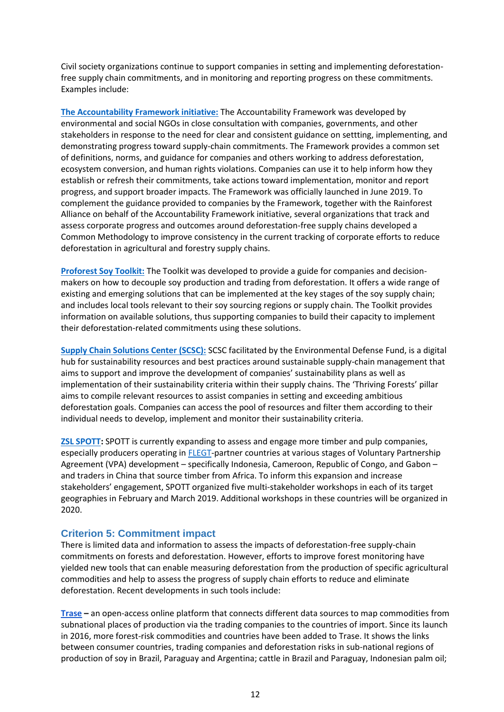Civil society organizations continue to support companies in setting and implementing deforestationfree supply chain commitments, and in monitoring and reporting progress on these commitments. Examples include:

**[The Accountability Framework initiative:](https://accountability-framework.org/about-us/)** The Accountability Framework was developed by environmental and social NGOs in close consultation with companies, governments, and other stakeholders in response to the need for clear and consistent guidance on settting, implementing, and demonstrating progress toward supply-chain commitments. The Framework provides a common set of definitions, norms, and guidance for companies and others working to address deforestation, ecosystem conversion, and human rights violations. Companies can use it to help inform how they establish or refresh their commitments, take actions toward implementation, monitor and report progress, and support broader impacts. The Framework was officially launched in June 2019. To complement the guidance provided to companies by the Framework, together with the Rainforest Alliance on behalf of the Accountability Framework initiative, several organizations that track and assess corporate progress and outcomes around deforestation-free supply chains developed a Common Methodology to improve consistency in the current tracking of corporate efforts to reduce deforestation in agricultural and forestry supply chains.

**[Proforest Soy Toolkit:](https://www.proforest.net/en/programmes/latin-america/soy-toolkit)** The Toolkit was developed to provide a guide for companies and decisionmakers on how to decouple soy production and trading from deforestation. It offers a wide range of existing and emerging solutions that can be implemented at the key stages of the soy supply chain; and includes local tools relevant to their soy sourcing regions or supply chain. The Toolkit provides information on available solutions, thus supporting companies to build their capacity to implement their deforestation-related commitments using these solutions.

**[Supply Chain Solutions Center \(SCSC\):](https://supplychain.edf.org/category/thriving-forests/)** SCSC facilitated by the Environmental Defense Fund, is a digital hub for sustainability resources and best practices around sustainable supply-chain management that aims to support and improve the development of companies' sustainability plans as well as implementation of their sustainability criteria within their supply chains. The 'Thriving Forests' pillar aims to compile relevant resources to assist companies in setting and exceeding ambitious deforestation goals. Companies can access the pool of resources and filter them according to their individual needs to develop, implement and monitor their sustainability criteria.

**[ZSL SPOTT:](https://www.spott.org/about/)** SPOTT is currently expanding to assess and engage more timber and pulp companies, especially producers operating in **FLEGT-partner countries at various stages of Voluntary Partnership** Agreement (VPA) development – specifically Indonesia, Cameroon, Republic of Congo, and Gabon – and traders in China that source timber from Africa. To inform this expansion and increase stakeholders' engagement, SPOTT organized five multi-stakeholder workshops in each of its target geographies in February and March 2019. Additional workshops in these countries will be organized in 2020.

## **Criterion 5: Commitment impact**

There is limited data and information to assess the impacts of deforestation-free supply-chain commitments on forests and deforestation. However, efforts to improve forest monitoring have yielded new tools that can enable measuring deforestation from the production of specific agricultural commodities and help to assess the progress of supply chain efforts to reduce and eliminate deforestation. Recent developments in such tools include:

**[Trase](http://trase.earth/) –** an open-access online platform that connects different data sources to map commodities from subnational places of production via the trading companies to the countries of import. Since its launch in 2016, more forest-risk commodities and countries have been added to Trase. It shows the links between consumer countries, trading companies and deforestation risks in sub-national regions of production of soy in Brazil, Paraguay and Argentina; cattle in Brazil and Paraguay, Indonesian palm oil;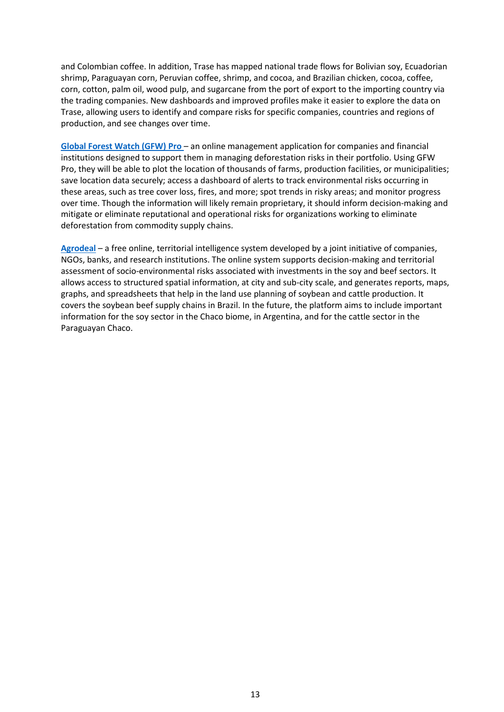and Colombian coffee. In addition, Trase has mapped national trade flows for Bolivian soy, Ecuadorian shrimp, Paraguayan corn, Peruvian coffee, shrimp, and cocoa, and Brazilian chicken, cocoa, coffee, corn, cotton, palm oil, wood pulp, and sugarcane from the port of export to the importing country via the trading companies. New dashboards and improved profiles make it easier to explore the data on Trase, allowing users to identify and compare risks for specific companies, countries and regions of production, and see changes over time.

**[Global Forest Watch \(GFW\) Pro](https://pro.globalforestwatch.org/)** – an online management application for companies and financial institutions designed to support them in managing deforestation risks in their portfolio. Using GFW Pro, they will be able to plot the location of thousands of farms, production facilities, or municipalities; save location data securely; access a dashboard of alerts to track environmental risks occurring in these areas, such as tree cover loss, fires, and more; spot trends in risky areas; and monitor progress over time. Though the information will likely remain proprietary, it should inform decision-making and mitigate or eliminate reputational and operational risks for organizations working to eliminate deforestation from commodity supply chains.

**[Agrodeal](https://agroideal.org/en/)** – a free online, territorial intelligence system developed by a joint initiative of companies, NGOs, banks, and research institutions. The online system supports decision-making and territorial assessment of socio-environmental risks associated with investments in the soy and beef sectors. It allows access to structured spatial information, at city and sub-city scale, and generates reports, maps, graphs, and spreadsheets that help in the land use planning of soybean and cattle production. It covers the soybean beef supply chains in Brazil. In the future, the platform aims to include important information for the soy sector in the Chaco biome, in Argentina, and for the cattle sector in the Paraguayan Chaco.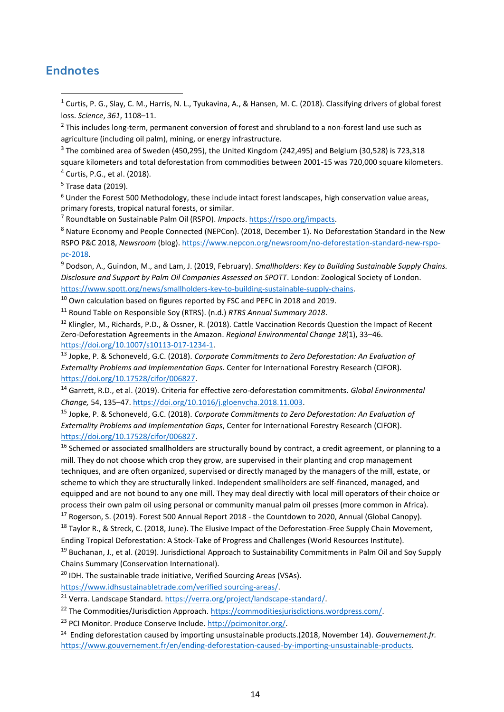# **Endnotes**

- <sup>1</sup> Curtis, P. G., Slay, C. M., Harris, N. L., Tyukavina, A., & Hansen, M. C. (2018). Classifying drivers of global forest loss. *Science*, *361*, 1108–11.
- <sup>2</sup> This includes long-term, permanent conversion of forest and shrubland to a non-forest land use such as agriculture (including oil palm), mining, or energy infrastructure.
- $3$  The combined area of Sweden (450,295), the United Kingdom (242,495) and Belgium (30,528) is 723,318
- square kilometers and total deforestation from commodities between 2001-15 was 720,000 square kilometers. <sup>4</sup> Curtis, P.G., et al. (2018).
- <sup>5</sup> Trase data (2019).
- $6$  Under the Forest 500 Methodology, these include intact forest landscapes, high conservation value areas, primary forests, tropical natural forests, or similar.

<sup>7</sup> Roundtable on Sustainable Palm Oil (RSPO). *Impacts*[. https://rspo.org/impacts.](https://rspo.org/impacts)

<sup>8</sup> Nature Economy and People Connected (NEPCon). (2018, December 1). No Deforestation Standard in the New RSPO P&C 2018, *Newsroom* (blog). [https://www.nepcon.org/newsroom/no-deforestation-standard-new-rspo](https://www.nepcon.org/newsroom/no-deforestation-standard-new-rspo-pc-2018)[pc-2018.](https://www.nepcon.org/newsroom/no-deforestation-standard-new-rspo-pc-2018)

<sup>9</sup> Dodson, A., Guindon, M., and Lam, J. (2019, February). *Smallholders: Key to Building Sustainable Supply Chains. Disclosure and Support by Palm Oil Companies Assessed on SPOTT*. London: Zoological Society of London. [https://www.spott.org/news/smallholders-key-to-building-sustainable-supply-chains.](https://www.spott.org/news/smallholders-key-to-building-sustainable-supply-chains)

<sup>10</sup> Own calculation based on figures reported by FSC and PEFC in 2018 and 2019.

<sup>11</sup> Round Table on Responsible Soy (RTRS). (n.d.) *RTRS Annual Summary 2018*.

<sup>12</sup> Klingler, M., Richards, P.D., & Ossner, R. (2018). Cattle Vaccination Records Question the Impact of Recent Zero-Deforestation Agreements in the Amazon. *Regional Environmental Change 18*(1), 33–46. [https://doi.org/10.1007/s10113-017-1234-1.](https://doi.org/10.1007/s10113-017-1234-1)

<sup>13</sup> Jopke, P. & Schoneveld, G.C. (2018). *Corporate Commitments to Zero Deforestation: An Evaluation of Externality Problems and Implementation Gaps.* Center for International Forestry Research (CIFOR). [https://doi.org/10.17528/cifor/006827.](https://doi.org/10.17528/cifor/006827)

<sup>14</sup> Garrett, R.D., et al. (2019). Criteria for effective zero-deforestation commitments. *Global Environmental Change,* 54, 135–47. [https://doi.org/10.1016/j.gloenvcha.2018.11.003.](https://doi.org/10.1016/j.gloenvcha.2018.11.003)

<sup>15</sup> Jopke, P. & Schoneveld, G.C. (2018). *Corporate Commitments to Zero Deforestation: An Evaluation of Externality Problems and Implementation Gaps*, Center for International Forestry Research (CIFOR). [https://doi.org/10.17528/cifor/006827.](https://doi.org/10.17528/cifor/006827)

<sup>16</sup> Schemed or associated smallholders are structurally bound by contract, a credit agreement, or planning to a mill. They do not choose which crop they grow, are supervised in their planting and crop management techniques, and are often organized, supervised or directly managed by the managers of the mill, estate, or scheme to which they are structurally linked. Independent smallholders are self-financed, managed, and equipped and are not bound to any one mill. They may deal directly with local mill operators of their choice or process their own palm oil using personal or community manual palm oil presses (more common in Africa).

<sup>17</sup> Rogerson, S. (2019). Forest 500 Annual Report 2018 - the Countdown to 2020, Annual (Global Canopy). <sup>18</sup> Tavlor R., & Streck, C. (2018, June). The Elusive Impact of the Deforestation-Free Supply Chain Movement, Ending Tropical Deforestation: A Stock-Take of Progress and Challenges (World Resources Institute).

<sup>19</sup> Buchanan, J., et al. (2019). Jurisdictional Approach to Sustainability Commitments in Palm Oil and Soy Supply Chains Summary (Conservation International).

<sup>20</sup> IDH. The sustainable trade initiative, Verified Sourcing Areas (VSAs).

[https://www.idhsustainabletrade.com/verified sourcing-areas/.](https://www.idhsustainabletrade.com/verified%20sourcing-areas/)

<sup>21</sup> Verra. Landscape Standard. [https://verra.org/project/landscape-standard/.](https://verra.org/project/landscape-standard/)

<sup>22</sup> The Commodities/Jurisdiction Approach. [https://commoditiesjurisdictions.wordpress.com/.](https://commoditiesjurisdictions.wordpress.com/)

<sup>23</sup> PCI Monitor. Produce Conserve Include. [http://pcimonitor.org/.](http://pcimonitor.org/)

<sup>24</sup> Ending deforestation caused by importing unsustainable products.(2018, November 14). *Gouvernement.fr.* [https://www.gouvernement.fr/en/ending-deforestation-caused-by-importing-unsustainable-products.](https://www.gouvernement.fr/en/ending-deforestation-caused-by-importing-unsustainable-products)